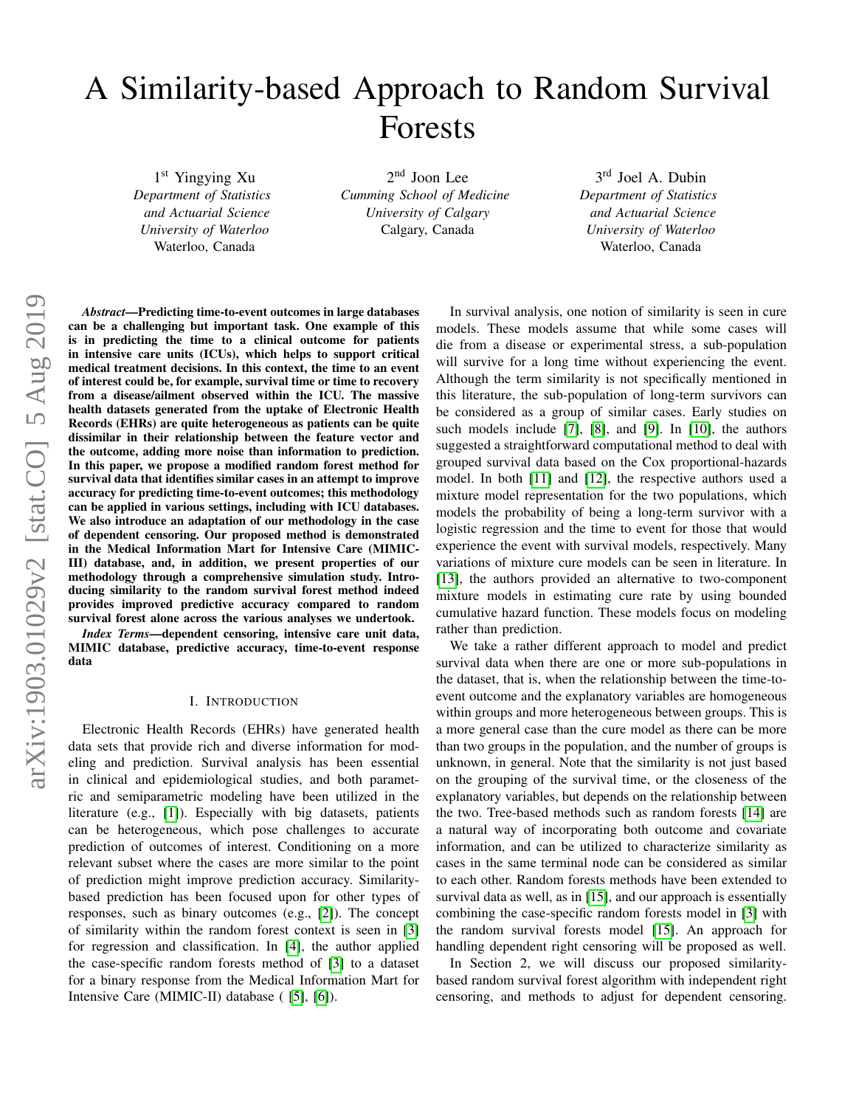# A Similarity-based Approach to Random Survival Forests

1 st Yingying Xu *Department of Statistics and Actuarial Science University of Waterloo* Waterloo, Canada

2 nd Joon Lee *Cumming School of Medicine University of Calgary* Calgary, Canada

3<sup>rd</sup> Joel A. Dubin *Department of Statistics and Actuarial Science University of Waterloo* Waterloo, Canada

*Abstract*—Predicting time-to-event outcomes in large databases can be a challenging but important task. One example of this is in predicting the time to a clinical outcome for patients in intensive care units (ICUs), which helps to support critical medical treatment decisions. In this context, the time to an event of interest could be, for example, survival time or time to recovery from a disease/ailment observed within the ICU. The massive health datasets generated from the uptake of Electronic Health Records (EHRs) are quite heterogeneous as patients can be quite dissimilar in their relationship between the feature vector and the outcome, adding more noise than information to prediction. In this paper, we propose a modified random forest method for survival data that identifies similar cases in an attempt to improve accuracy for predicting time-to-event outcomes; this methodology can be applied in various settings, including with ICU databases. We also introduce an adaptation of our methodology in the case of dependent censoring. Our proposed method is demonstrated in the Medical Information Mart for Intensive Care (MIMIC-III) database, and, in addition, we present properties of our methodology through a comprehensive simulation study. Introducing similarity to the random survival forest method indeed provides improved predictive accuracy compared to random survival forest alone across the various analyses we undertook.

*Index Terms*—dependent censoring, intensive care unit data, MIMIC database, predictive accuracy, time-to-event response data

#### I. INTRODUCTION

Electronic Health Records (EHRs) have generated health data sets that provide rich and diverse information for modeling and prediction. Survival analysis has been essential in clinical and epidemiological studies, and both parametric and semiparametric modeling have been utilized in the literature (e.g., [\[1\]](#page-4-0)). Especially with big datasets, patients can be heterogeneous, which pose challenges to accurate prediction of outcomes of interest. Conditioning on a more relevant subset where the cases are more similar to the point of prediction might improve prediction accuracy. Similaritybased prediction has been focused upon for other types of responses, such as binary outcomes (e.g., [\[2\]](#page-4-1)). The concept of similarity within the random forest context is seen in [\[3\]](#page-4-2) for regression and classification. In [\[4\]](#page-4-3), the author applied the case-specific random forests method of [\[3\]](#page-4-2) to a dataset for a binary response from the Medical Information Mart for Intensive Care (MIMIC-II) database ( [\[5\]](#page-4-4), [\[6\]](#page-4-5)).

In survival analysis, one notion of similarity is seen in cure models. These models assume that while some cases will die from a disease or experimental stress, a sub-population will survive for a long time without experiencing the event. Although the term similarity is not specifically mentioned in this literature, the sub-population of long-term survivors can be considered as a group of similar cases. Early studies on such models include [\[7\]](#page-4-6), [\[8\]](#page-4-7), and [\[9\]](#page-4-8). In [\[10\]](#page-4-9), the authors suggested a straightforward computational method to deal with grouped survival data based on the Cox proportional-hazards model. In both [\[11\]](#page-4-10) and [\[12\]](#page-4-11), the respective authors used a mixture model representation for the two populations, which models the probability of being a long-term survivor with a logistic regression and the time to event for those that would experience the event with survival models, respectively. Many variations of mixture cure models can be seen in literature. In [\[13\]](#page-4-12), the authors provided an alternative to two-component mixture models in estimating cure rate by using bounded cumulative hazard function. These models focus on modeling rather than prediction.

We take a rather different approach to model and predict survival data when there are one or more sub-populations in the dataset, that is, when the relationship between the time-toevent outcome and the explanatory variables are homogeneous within groups and more heterogeneous between groups. This is a more general case than the cure model as there can be more than two groups in the population, and the number of groups is unknown, in general. Note that the similarity is not just based on the grouping of the survival time, or the closeness of the explanatory variables, but depends on the relationship between the two. Tree-based methods such as random forests [\[14\]](#page-4-13) are a natural way of incorporating both outcome and covariate information, and can be utilized to characterize similarity as cases in the same terminal node can be considered as similar to each other. Random forests methods have been extended to survival data as well, as in [\[15\]](#page-4-14), and our approach is essentially combining the case-specific random forests model in [\[3\]](#page-4-2) with the random survival forests model [\[15\]](#page-4-14). An approach for handling dependent right censoring will be proposed as well.

In Section 2, we will discuss our proposed similaritybased random survival forest algorithm with independent right censoring, and methods to adjust for dependent censoring.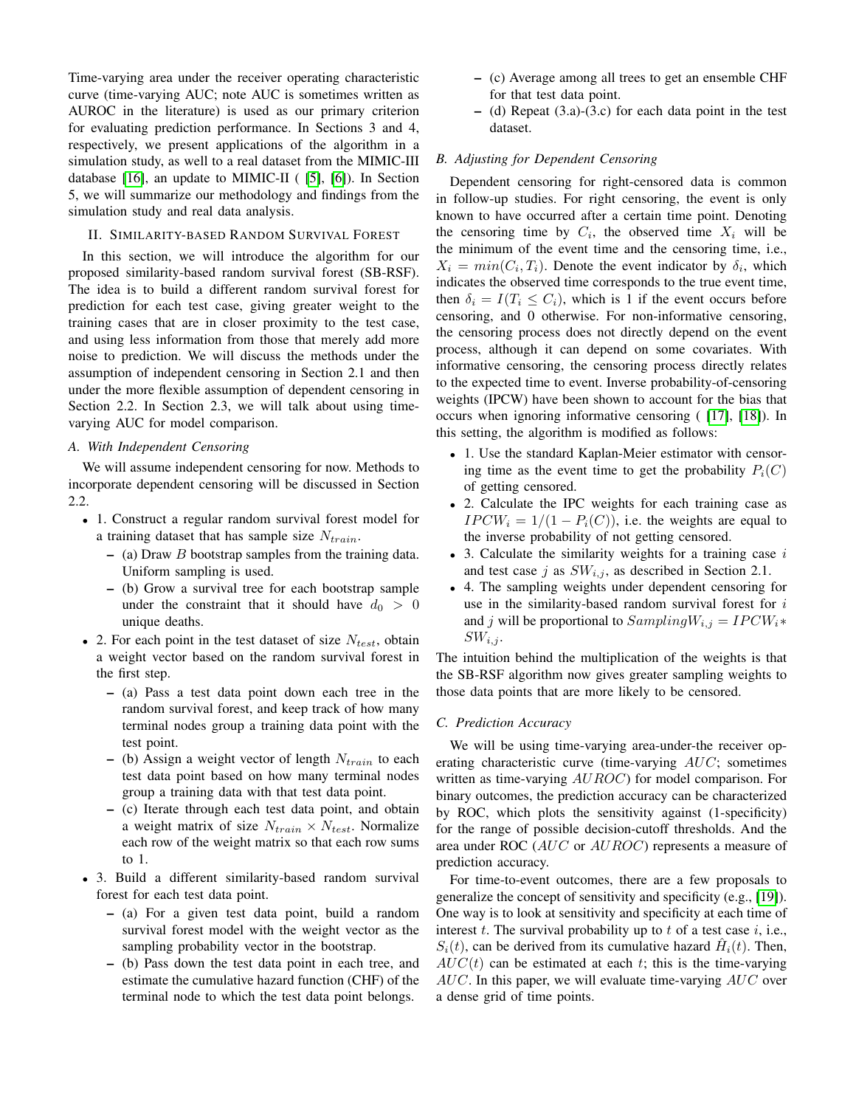Time-varying area under the receiver operating characteristic curve (time-varying AUC; note AUC is sometimes written as AUROC in the literature) is used as our primary criterion for evaluating prediction performance. In Sections 3 and 4, respectively, we present applications of the algorithm in a simulation study, as well to a real dataset from the MIMIC-III database [\[16\]](#page-4-15), an update to MIMIC-II ( [\[5\]](#page-4-4), [\[6\]](#page-4-5)). In Section 5, we will summarize our methodology and findings from the simulation study and real data analysis.

#### II. SIMILARITY-BASED RANDOM SURVIVAL FOREST

In this section, we will introduce the algorithm for our proposed similarity-based random survival forest (SB-RSF). The idea is to build a different random survival forest for prediction for each test case, giving greater weight to the training cases that are in closer proximity to the test case, and using less information from those that merely add more noise to prediction. We will discuss the methods under the assumption of independent censoring in Section 2.1 and then under the more flexible assumption of dependent censoring in Section 2.2. In Section 2.3, we will talk about using timevarying AUC for model comparison.

# *A. With Independent Censoring*

We will assume independent censoring for now. Methods to incorporate dependent censoring will be discussed in Section 2.2.

- 1. Construct a regular random survival forest model for a training dataset that has sample size  $N_{train}$ .
	- $-$  (a) Draw *B* bootstrap samples from the training data. Uniform sampling is used.
	- (b) Grow a survival tree for each bootstrap sample under the constraint that it should have  $d_0 > 0$ unique deaths.
- 2. For each point in the test dataset of size  $N_{test}$ , obtain a weight vector based on the random survival forest in the first step.
	- (a) Pass a test data point down each tree in the random survival forest, and keep track of how many terminal nodes group a training data point with the test point.
	- (b) Assign a weight vector of length  $N_{train}$  to each test data point based on how many terminal nodes group a training data with that test data point.
	- (c) Iterate through each test data point, and obtain a weight matrix of size  $N_{train} \times N_{test}$ . Normalize each row of the weight matrix so that each row sums to 1.
- 3. Build a different similarity-based random survival forest for each test data point.
	- (a) For a given test data point, build a random survival forest model with the weight vector as the sampling probability vector in the bootstrap.
	- (b) Pass down the test data point in each tree, and estimate the cumulative hazard function (CHF) of the terminal node to which the test data point belongs.
- (c) Average among all trees to get an ensemble CHF for that test data point.
- (d) Repeat (3.a)-(3.c) for each data point in the test dataset.

# *B. Adjusting for Dependent Censoring*

Dependent censoring for right-censored data is common in follow-up studies. For right censoring, the event is only known to have occurred after a certain time point. Denoting the censoring time by  $C_i$ , the observed time  $X_i$  will be the minimum of the event time and the censoring time, i.e.,  $X_i = min(C_i, T_i)$ . Denote the event indicator by  $\delta_i$ , which indicates the observed time corresponds to the true event time, then  $\delta_i = I(T_i \leq C_i)$ , which is 1 if the event occurs before censoring, and 0 otherwise. For non-informative censoring, the censoring process does not directly depend on the event process, although it can depend on some covariates. With informative censoring, the censoring process directly relates to the expected time to event. Inverse probability-of-censoring weights (IPCW) have been shown to account for the bias that occurs when ignoring informative censoring ( [\[17\]](#page-4-16), [\[18\]](#page-4-17)). In this setting, the algorithm is modified as follows:

- 1. Use the standard Kaplan-Meier estimator with censoring time as the event time to get the probability  $P_i(C)$ of getting censored.
- 2. Calculate the IPC weights for each training case as  $IPCW_i = 1/(1 - P_i(C))$ , i.e. the weights are equal to the inverse probability of not getting censored.
- 3. Calculate the similarity weights for a training case  $i$ and test case j as  $SW_{i,j}$ , as described in Section 2.1.
- 4. The sampling weights under dependent censoring for use in the similarity-based random survival forest for  $i$ and j will be proportional to  $SamplingW_{i,j} = IPCW_i*$  $SW_{i,j}$ .

The intuition behind the multiplication of the weights is that the SB-RSF algorithm now gives greater sampling weights to those data points that are more likely to be censored.

# *C. Prediction Accuracy*

We will be using time-varying area-under-the receiver operating characteristic curve (time-varying AUC; sometimes written as time-varying  $AUROC$ ) for model comparison. For binary outcomes, the prediction accuracy can be characterized by ROC, which plots the sensitivity against (1-specificity) for the range of possible decision-cutoff thresholds. And the area under ROC (AUC or AUROC) represents a measure of prediction accuracy.

For time-to-event outcomes, there are a few proposals to generalize the concept of sensitivity and specificity (e.g., [\[19\]](#page-4-18)). One way is to look at sensitivity and specificity at each time of interest  $t$ . The survival probability up to  $t$  of a test case  $i$ , i.e.,  $S_i(t)$ , can be derived from its cumulative hazard  $\hat{H}_i(t)$ . Then,  $AUC(t)$  can be estimated at each t; this is the time-varying  $AUC$ . In this paper, we will evaluate time-varying  $AUC$  over a dense grid of time points.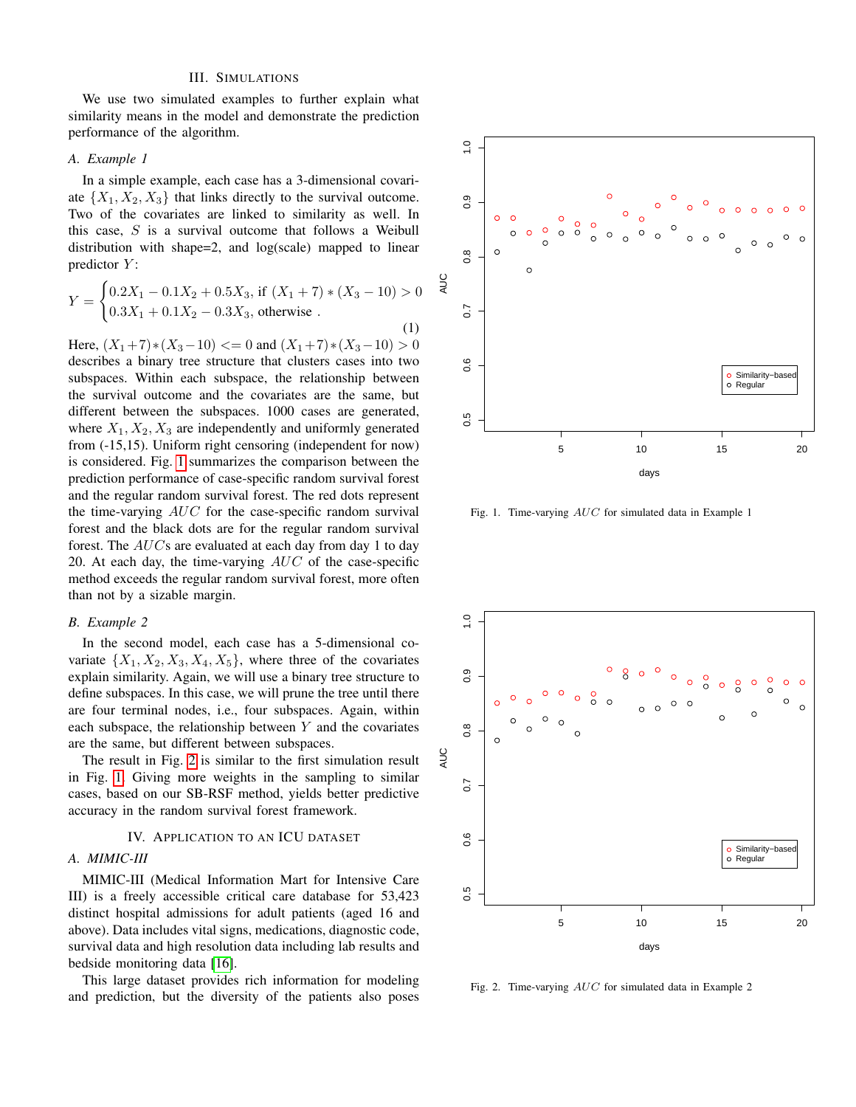# III. SIMULATIONS

We use two simulated examples to further explain what similarity means in the model and demonstrate the prediction performance of the algorithm.

## *A. Example 1*

In a simple example, each case has a 3-dimensional covariate  $\{X_1, X_2, X_3\}$  that links directly to the survival outcome. Two of the covariates are linked to similarity as well. In this case,  $S$  is a survival outcome that follows a Weibull distribution with shape=2, and log(scale) mapped to linear predictor  $Y$ :

$$
Y = \begin{cases} 0.2X_1 - 0.1X_2 + 0.5X_3, \text{ if } (X_1 + 7) * (X_3 - 10) > 0\\ 0.3X_1 + 0.1X_2 - 0.3X_3, \text{ otherwise}. \end{cases}
$$
(1)

Here,  $(X_1+7)*(X_3-10) \le 0$  and  $(X_1+7)*(X_3-10) > 0$ describes a binary tree structure that clusters cases into two subspaces. Within each subspace, the relationship between the survival outcome and the covariates are the same, but different between the subspaces. 1000 cases are generated, where  $X_1, X_2, X_3$  are independently and uniformly generated from (-15,15). Uniform right censoring (independent for now) is considered. Fig. [1](#page-2-0) summarizes the comparison between the prediction performance of case-specific random survival forest and the regular random survival forest. The red dots represent the time-varying  $AUC$  for the case-specific random survival forest and the black dots are for the regular random survival forest. The  $AUCs$  are evaluated at each day from day 1 to day 20. At each day, the time-varying  $AUC$  of the case-specific method exceeds the regular random survival forest, more often than not by a sizable margin.

#### *B. Example 2*

In the second model, each case has a 5-dimensional covariate  $\{X_1, X_2, X_3, X_4, X_5\}$ , where three of the covariates explain similarity. Again, we will use a binary tree structure to define subspaces. In this case, we will prune the tree until there are four terminal nodes, i.e., four subspaces. Again, within each subspace, the relationship between  $Y$  and the covariates are the same, but different between subspaces.

The result in Fig. [2](#page-2-1) is similar to the first simulation result in Fig. [1.](#page-2-0) Giving more weights in the sampling to similar cases, based on our SB-RSF method, yields better predictive accuracy in the random survival forest framework.

#### IV. APPLICATION TO AN ICU DATASET

#### *A. MIMIC-III*

MIMIC-III (Medical Information Mart for Intensive Care III) is a freely accessible critical care database for 53,423 distinct hospital admissions for adult patients (aged 16 and above). Data includes vital signs, medications, diagnostic code, survival data and high resolution data including lab results and bedside monitoring data [\[16\]](#page-4-15).

This large dataset provides rich information for modeling and prediction, but the diversity of the patients also poses



<span id="page-2-0"></span>Fig. 1. Time-varying AUC for simulated data in Example 1



<span id="page-2-1"></span>Fig. 2. Time-varying AUC for simulated data in Example 2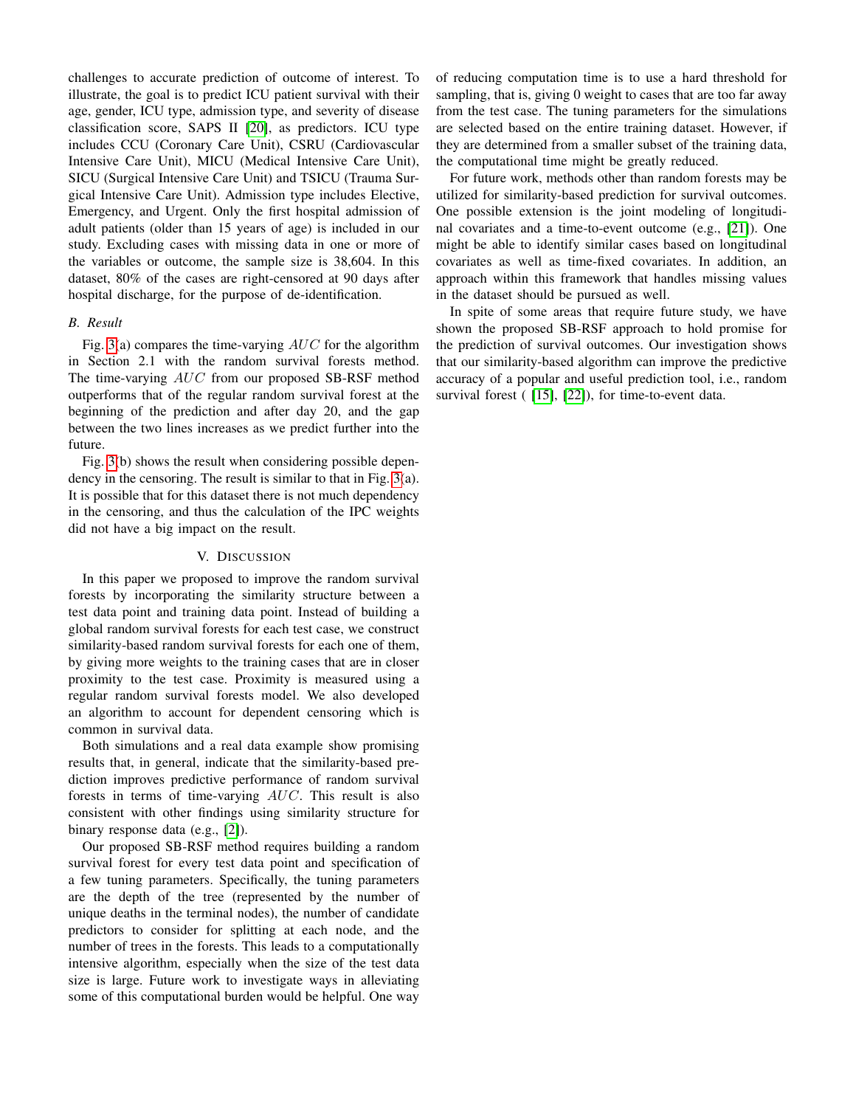challenges to accurate prediction of outcome of interest. To illustrate, the goal is to predict ICU patient survival with their age, gender, ICU type, admission type, and severity of disease classification score, SAPS II [\[20\]](#page-4-19), as predictors. ICU type includes CCU (Coronary Care Unit), CSRU (Cardiovascular Intensive Care Unit), MICU (Medical Intensive Care Unit), SICU (Surgical Intensive Care Unit) and TSICU (Trauma Surgical Intensive Care Unit). Admission type includes Elective, Emergency, and Urgent. Only the first hospital admission of adult patients (older than 15 years of age) is included in our study. Excluding cases with missing data in one or more of the variables or outcome, the sample size is 38,604. In this dataset, 80% of the cases are right-censored at 90 days after hospital discharge, for the purpose of de-identification.

# *B. Result*

Fig. [3\(](#page-4-20)a) compares the time-varying  $AUC$  for the algorithm in Section 2.1 with the random survival forests method. The time-varying AUC from our proposed SB-RSF method outperforms that of the regular random survival forest at the beginning of the prediction and after day 20, and the gap between the two lines increases as we predict further into the future.

Fig. [3\(](#page-4-20)b) shows the result when considering possible dependency in the censoring. The result is similar to that in Fig. [3\(](#page-4-20)a). It is possible that for this dataset there is not much dependency in the censoring, and thus the calculation of the IPC weights did not have a big impact on the result.

#### V. DISCUSSION

In this paper we proposed to improve the random survival forests by incorporating the similarity structure between a test data point and training data point. Instead of building a global random survival forests for each test case, we construct similarity-based random survival forests for each one of them, by giving more weights to the training cases that are in closer proximity to the test case. Proximity is measured using a regular random survival forests model. We also developed an algorithm to account for dependent censoring which is common in survival data.

Both simulations and a real data example show promising results that, in general, indicate that the similarity-based prediction improves predictive performance of random survival forests in terms of time-varying AUC. This result is also consistent with other findings using similarity structure for binary response data (e.g., [\[2\]](#page-4-1)).

Our proposed SB-RSF method requires building a random survival forest for every test data point and specification of a few tuning parameters. Specifically, the tuning parameters are the depth of the tree (represented by the number of unique deaths in the terminal nodes), the number of candidate predictors to consider for splitting at each node, and the number of trees in the forests. This leads to a computationally intensive algorithm, especially when the size of the test data size is large. Future work to investigate ways in alleviating some of this computational burden would be helpful. One way of reducing computation time is to use a hard threshold for sampling, that is, giving 0 weight to cases that are too far away from the test case. The tuning parameters for the simulations are selected based on the entire training dataset. However, if they are determined from a smaller subset of the training data, the computational time might be greatly reduced.

For future work, methods other than random forests may be utilized for similarity-based prediction for survival outcomes. One possible extension is the joint modeling of longitudinal covariates and a time-to-event outcome (e.g., [\[21\]](#page-4-21)). One might be able to identify similar cases based on longitudinal covariates as well as time-fixed covariates. In addition, an approach within this framework that handles missing values in the dataset should be pursued as well.

In spite of some areas that require future study, we have shown the proposed SB-RSF approach to hold promise for the prediction of survival outcomes. Our investigation shows that our similarity-based algorithm can improve the predictive accuracy of a popular and useful prediction tool, i.e., random survival forest ( [\[15\]](#page-4-14), [\[22\]](#page-4-22)), for time-to-event data.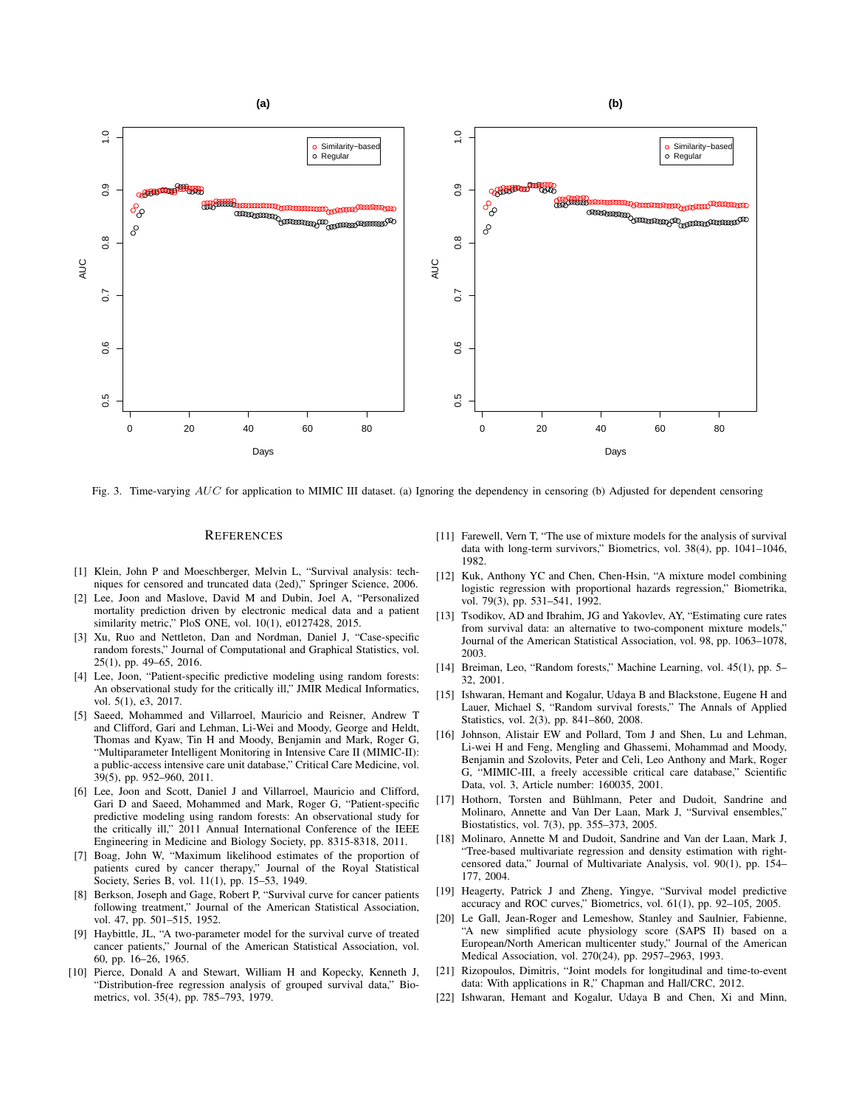

<span id="page-4-20"></span>Fig. 3. Time-varying AUC for application to MIMIC III dataset. (a) Ignoring the dependency in censoring (b) Adjusted for dependent censoring

#### **REFERENCES**

- <span id="page-4-0"></span>[1] Klein, John P and Moeschberger, Melvin L, "Survival analysis: techniques for censored and truncated data (2ed)," Springer Science, 2006.
- <span id="page-4-1"></span>[2] Lee, Joon and Maslove, David M and Dubin, Joel A, "Personalized mortality prediction driven by electronic medical data and a patient similarity metric," PloS ONE, vol. 10(1), e0127428, 2015.
- <span id="page-4-2"></span>[3] Xu, Ruo and Nettleton, Dan and Nordman, Daniel J, "Case-specific random forests," Journal of Computational and Graphical Statistics, vol. 25(1), pp. 49–65, 2016.
- <span id="page-4-3"></span>[4] Lee, Joon, "Patient-specific predictive modeling using random forests: An observational study for the critically ill," JMIR Medical Informatics, vol. 5(1), e3, 2017.
- <span id="page-4-4"></span>Saeed, Mohammed and Villarroel, Mauricio and Reisner, Andrew T and Clifford, Gari and Lehman, Li-Wei and Moody, George and Heldt, Thomas and Kyaw, Tin H and Moody, Benjamin and Mark, Roger G, "Multiparameter Intelligent Monitoring in Intensive Care II (MIMIC-II): a public-access intensive care unit database," Critical Care Medicine, vol. 39(5), pp. 952–960, 2011.
- <span id="page-4-5"></span>[6] Lee, Joon and Scott, Daniel J and Villarroel, Mauricio and Clifford, Gari D and Saeed, Mohammed and Mark, Roger G, "Patient-specific predictive modeling using random forests: An observational study for the critically ill," 2011 Annual International Conference of the IEEE Engineering in Medicine and Biology Society, pp. 8315-8318, 2011.
- <span id="page-4-6"></span>[7] Boag, John W, "Maximum likelihood estimates of the proportion of patients cured by cancer therapy," Journal of the Royal Statistical Society, Series B, vol. 11(1), pp. 15–53, 1949.
- <span id="page-4-7"></span>[8] Berkson, Joseph and Gage, Robert P, "Survival curve for cancer patients following treatment," Journal of the American Statistical Association, vol. 47, pp. 501–515, 1952.
- <span id="page-4-8"></span>[9] Haybittle, JL, "A two-parameter model for the survival curve of treated cancer patients," Journal of the American Statistical Association, vol. 60, pp. 16–26, 1965.
- <span id="page-4-9"></span>[10] Pierce, Donald A and Stewart, William H and Kopecky, Kenneth J, "Distribution-free regression analysis of grouped survival data," Biometrics, vol. 35(4), pp. 785–793, 1979.
- <span id="page-4-10"></span>[11] Farewell, Vern T, "The use of mixture models for the analysis of survival data with long-term survivors," Biometrics, vol. 38(4), pp. 1041–1046, 1982.
- <span id="page-4-11"></span>[12] Kuk, Anthony YC and Chen, Chen-Hsin, "A mixture model combining logistic regression with proportional hazards regression," Biometrika, vol. 79(3), pp. 531–541, 1992.
- <span id="page-4-12"></span>[13] Tsodikov, AD and Ibrahim, JG and Yakovlev, AY, "Estimating cure rates from survival data: an alternative to two-component mixture models," Journal of the American Statistical Association, vol. 98, pp. 1063–1078, 2003.
- <span id="page-4-13"></span>[14] Breiman, Leo, "Random forests," Machine Learning, vol. 45(1), pp. 5– 32, 2001.
- <span id="page-4-14"></span>[15] Ishwaran, Hemant and Kogalur, Udaya B and Blackstone, Eugene H and Lauer, Michael S, "Random survival forests," The Annals of Applied Statistics, vol. 2(3), pp. 841–860, 2008.
- <span id="page-4-15"></span>[16] Johnson, Alistair EW and Pollard, Tom J and Shen, Lu and Lehman, Li-wei H and Feng, Mengling and Ghassemi, Mohammad and Moody, Benjamin and Szolovits, Peter and Celi, Leo Anthony and Mark, Roger G, "MIMIC-III, a freely accessible critical care database," Scientific Data, vol. 3, Article number: 160035, 2001.
- <span id="page-4-16"></span>[17] Hothorn, Torsten and Bühlmann, Peter and Dudoit, Sandrine and Molinaro, Annette and Van Der Laan, Mark J, "Survival ensembles," Biostatistics, vol. 7(3), pp. 355–373, 2005.
- <span id="page-4-17"></span>[18] Molinaro, Annette M and Dudoit, Sandrine and Van der Laan, Mark J, "Tree-based multivariate regression and density estimation with rightcensored data," Journal of Multivariate Analysis, vol. 90(1), pp. 154– 177, 2004.
- <span id="page-4-18"></span>[19] Heagerty, Patrick J and Zheng, Yingye, "Survival model predictive accuracy and ROC curves," Biometrics, vol. 61(1), pp. 92–105, 2005.
- <span id="page-4-19"></span>[20] Le Gall, Jean-Roger and Lemeshow, Stanley and Saulnier, Fabienne, "A new simplified acute physiology score (SAPS II) based on a European/North American multicenter study," Journal of the American Medical Association, vol. 270(24), pp. 2957–2963, 1993.
- <span id="page-4-21"></span>[21] Rizopoulos, Dimitris, "Joint models for longitudinal and time-to-event data: With applications in R," Chapman and Hall/CRC, 2012.
- <span id="page-4-22"></span>[22] Ishwaran, Hemant and Kogalur, Udaya B and Chen, Xi and Minn,